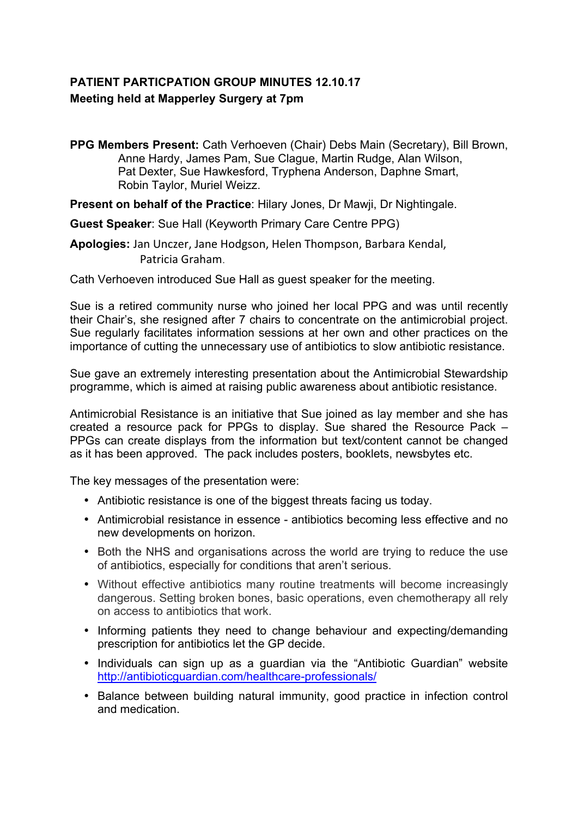## **PATIENT PARTICPATION GROUP MINUTES 12.10.17 Meeting held at Mapperley Surgery at 7pm**

**PPG Members Present:** Cath Verhoeven (Chair) Debs Main (Secretary), Bill Brown, Anne Hardy, James Pam, Sue Clague, Martin Rudge, Alan Wilson, Pat Dexter, Sue Hawkesford, Tryphena Anderson, Daphne Smart, Robin Taylor, Muriel Weizz.

**Present on behalf of the Practice**: Hilary Jones, Dr Mawji, Dr Nightingale.

**Guest Speaker**: Sue Hall (Keyworth Primary Care Centre PPG)

Apologies: Jan Unczer, Jane Hodgson, Helen Thompson, Barbara Kendal, Patricia Graham.

Cath Verhoeven introduced Sue Hall as guest speaker for the meeting.

Sue is a retired community nurse who joined her local PPG and was until recently their Chair's, she resigned after 7 chairs to concentrate on the antimicrobial project. Sue regularly facilitates information sessions at her own and other practices on the importance of cutting the unnecessary use of antibiotics to slow antibiotic resistance.

Sue gave an extremely interesting presentation about the Antimicrobial Stewardship programme, which is aimed at raising public awareness about antibiotic resistance.

Antimicrobial Resistance is an initiative that Sue joined as lay member and she has created a resource pack for PPGs to display. Sue shared the Resource Pack – PPGs can create displays from the information but text/content cannot be changed as it has been approved. The pack includes posters, booklets, newsbytes etc.

The key messages of the presentation were:

- Antibiotic resistance is one of the biggest threats facing us today.
- Antimicrobial resistance in essence antibiotics becoming less effective and no new developments on horizon.
- Both the NHS and organisations across the world are trying to reduce the use of antibiotics, especially for conditions that aren't serious.
- Without effective antibiotics many routine treatments will become increasingly dangerous. Setting broken bones, basic operations, even chemotherapy all rely on access to antibiotics that work.
- Informing patients they need to change behaviour and expecting/demanding prescription for antibiotics let the GP decide.
- Individuals can sign up as a guardian via the "Antibiotic Guardian" website http://antibioticguardian.com/healthcare-professionals/
- Balance between building natural immunity, good practice in infection control and medication.